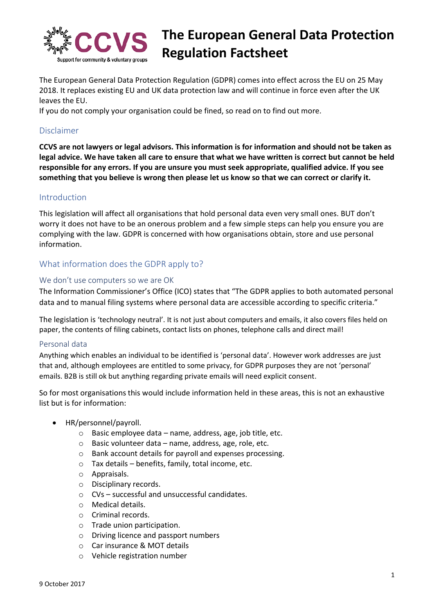

# **The European General Data Protection Regulation Factsheet**

The European General Data Protection Regulation (GDPR) comes into effect across the EU on 25 May 2018. It replaces existing EU and UK data protection law and will continue in force even after the UK leaves the EU.

If you do not comply your organisation could be fined, so read on to find out more.

# Disclaimer

**CCVS are not lawyers or legal advisors. This information is for information and should not be taken as legal advice. We have taken all care to ensure that what we have written is correct but cannot be held responsible for any errors. If you are unsure you must seek appropriate, qualified advice. If you see something that you believe is wrong then please let us know so that we can correct or clarify it.**

# Introduction

This legislation will affect all organisations that hold personal data even very small ones. BUT don't worry it does not have to be an onerous problem and a few simple steps can help you ensure you are complying with the law. GDPR is concerned with how organisations obtain, store and use personal information.

# What information does the GDPR apply to?

#### We don't use computers so we are OK

The Information Commissioner's Office (ICO) states that "The GDPR applies to both automated personal data and to manual filing systems where personal data are accessible according to specific criteria."

The legislation is 'technology neutral'. It is not just about computers and emails, it also covers files held on paper, the contents of filing cabinets, contact lists on phones, telephone calls and direct mail!

#### Personal data

Anything which enables an individual to be identified is 'personal data'. However work addresses are just that and, although employees are entitled to some privacy, for GDPR purposes they are not 'personal' emails. B2B is still ok but anything regarding private emails will need explicit consent.

So for most organisations this would include information held in these areas, this is not an exhaustive list but is for information:

- HR/personnel/payroll.
	- $\circ$  Basic employee data name, address, age, job title, etc.
	- $\circ$  Basic volunteer data name, address, age, role, etc.
	- o Bank account details for payroll and expenses processing.
	- o Tax details benefits, family, total income, etc.
	- o Appraisals.
	- o Disciplinary records.
	- o CVs successful and unsuccessful candidates.
	- o Medical details.
	- o Criminal records.
	- o Trade union participation.
	- o Driving licence and passport numbers
	- o Car insurance & MOT details
	- o Vehicle registration number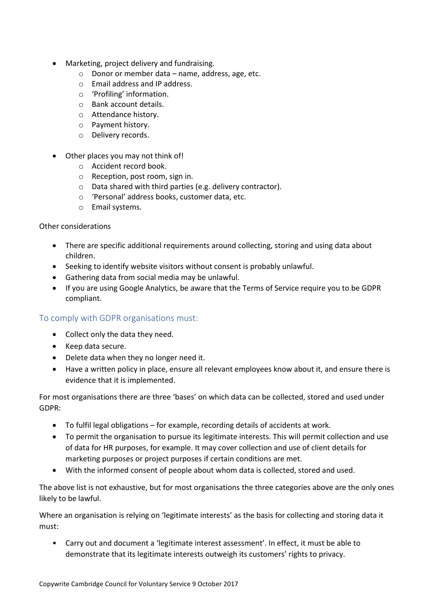- Marketing, project delivery and fundraising.
	- o Donor or member data name, address, age, etc.
	- o Email address and IP address.
	- o 'Profiling' information.
	- o Bank account details.
	- o Attendance history.
	- o Payment history.
	- o Delivery records.
- Other places you may not think of!
	- o Accident record book.
	- o Reception, post room, sign in.
	- o Data shared with third parties (e.g. delivery contractor).
	- o 'Personal' address books, customer data, etc.
	- o Email systems.

#### Other considerations

- There are specific additional requirements around collecting, storing and using data about children.
- Seeking to identify website visitors without consent is probably unlawful.
- Gathering data from social media may be unlawful.
- If you are using Google Analytics, be aware that the Terms of Service require you to be GDPR compliant.

# To comply with GDPR organisations must:

- Collect only the data they need.
- Keep data secure.
- Delete data when they no longer need it.
- Have a written policy in place, ensure all relevant employees know about it, and ensure there is evidence that it is implemented.

For most organisations there are three 'bases' on which data can be collected, stored and used under GDPR:

- To fulfil legal obligations for example, recording details of accidents at work.
- To permit the organisation to pursue its legitimate interests. This will permit collection and use of data for HR purposes, for example. It may cover collection and use of client details for marketing purposes or project purposes if certain conditions are met.
- With the informed consent of people about whom data is collected, stored and used.

The above list is not exhaustive, but for most organisations the three categories above are the only ones likely to be lawful.

Where an organisation is relying on 'legitimate interests' as the basis for collecting and storing data it must:

• Carry out and document a 'legitimate interest assessment'. In effect, it must be able to demonstrate that its legitimate interests outweigh its customers' rights to privacy.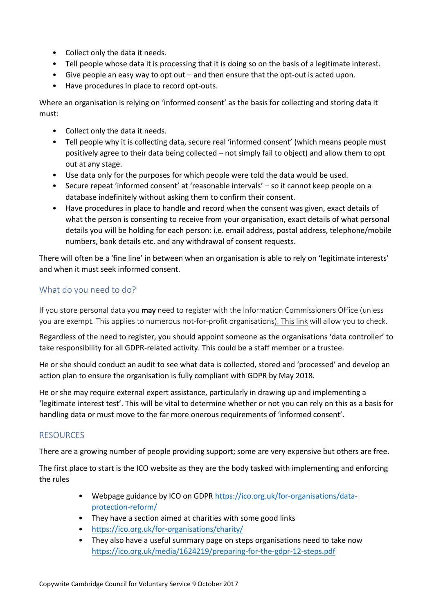- Collect only the data it needs.
- Tell people whose data it is processing that it is doing so on the basis of a legitimate interest.
- Give people an easy way to opt out and then ensure that the opt-out is acted upon.
- Have procedures in place to record opt-outs.

Where an organisation is relying on 'informed consent' as the basis for collecting and storing data it must:

- Collect only the data it needs.
- Tell people why it is collecting data, secure real 'informed consent' (which means people must positively agree to their data being collected – not simply fail to object) and allow them to opt out at any stage.
- Use data only for the purposes for which people were told the data would be used.
- Secure repeat 'informed consent' at 'reasonable intervals' so it cannot keep people on a database indefinitely without asking them to confirm their consent.
- Have procedures in place to handle and record when the consent was given, exact details of what the person is consenting to receive from your organisation, exact details of what personal details you will be holding for each person: i.e. email address, postal address, telephone/mobile numbers, bank details etc. and any withdrawal of consent requests.

There will often be a 'fine line' in between when an organisation is able to rely on 'legitimate interests' and when it must seek informed consent.

# What do you need to do?

If you store personal data you may need to register with the Information Commissioners Office (unless you are exempt. This applies to numerous not-for-profit organisations). [This link](https://ico.org.uk/for-organisations/register/) will allow you to check.

Regardless of the need to register, you should appoint someone as the organisations 'data controller' to take responsibility for all GDPR-related activity. This could be a staff member or a trustee.

He or she should conduct an audit to see what data is collected, stored and 'processed' and develop an action plan to ensure the organisation is fully compliant with GDPR by May 2018.

He or she may require external expert assistance, particularly in drawing up and implementing a 'legitimate interest test'. This will be vital to determine whether or not you can rely on this as a basis for handling data or must move to the far more onerous requirements of 'informed consent'.

# RESOURCES

There are a growing number of people providing support; some are very expensive but others are free.

The first place to start is the ICO website as they are the body tasked with implementing and enforcing the rules

- Webpage guidance by ICO on GDPR [https://ico.org.uk/for-organisations/data](https://ico.org.uk/for-organisations/data-protection-reform/)[protection-reform/](https://ico.org.uk/for-organisations/data-protection-reform/)
- They have a section aimed at charities with some good links
- <https://ico.org.uk/for-organisations/charity/>
- They also have a useful summary page on steps organisations need to take now <https://ico.org.uk/media/1624219/preparing-for-the-gdpr-12-steps.pdf>